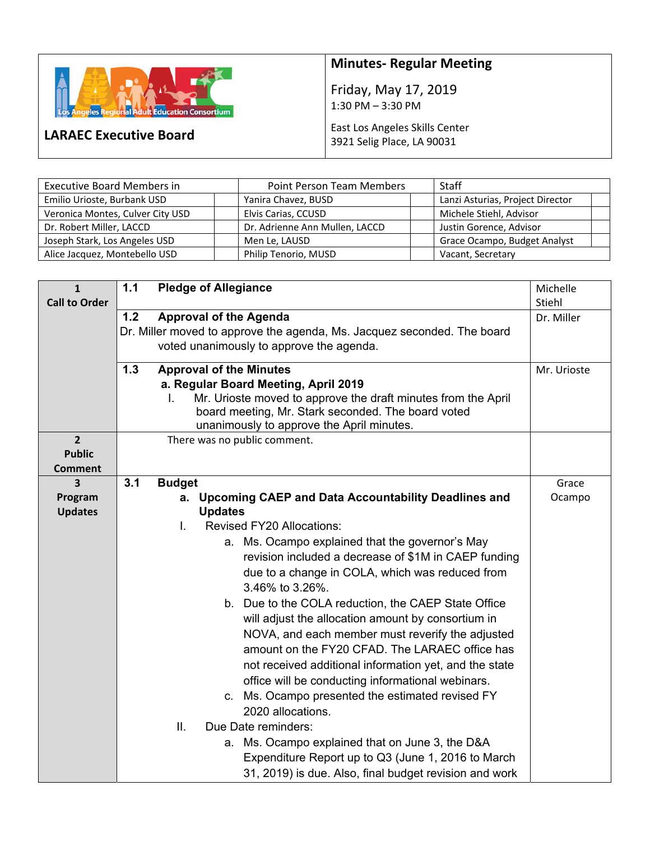

**LARAEC Executive Board** 

## **Minutes‐ Regular Meeting**

Friday, May 17, 2019 1:30 PM – 3:30 PM

## East Los Angeles Skills Center 3921 Selig Place, LA 90031

| <b>Executive Board Members in</b> | <b>Point Person Team Members</b> | Staff                            |
|-----------------------------------|----------------------------------|----------------------------------|
| Emilio Urioste, Burbank USD       | Yanira Chavez, BUSD              | Lanzi Asturias, Project Director |
| Veronica Montes, Culver City USD  | Elvis Carias, CCUSD              | Michele Stiehl, Advisor          |
| Dr. Robert Miller, LACCD          | Dr. Adrienne Ann Mullen, LACCD   | Justin Gorence, Advisor          |
| Joseph Stark, Los Angeles USD     | Men Le, LAUSD                    | Grace Ocampo, Budget Analyst     |
| Alice Jacquez, Montebello USD     | Philip Tenorio, MUSD             | Vacant, Secretary                |

| $\mathbf{1}$         | $1.1$ | <b>Pledge of Allegiance</b>                                             | Michelle    |
|----------------------|-------|-------------------------------------------------------------------------|-------------|
| <b>Call to Order</b> |       |                                                                         | Stiehl      |
|                      | 1.2   | <b>Approval of the Agenda</b>                                           | Dr. Miller  |
|                      |       | Dr. Miller moved to approve the agenda, Ms. Jacquez seconded. The board |             |
|                      |       | voted unanimously to approve the agenda.                                |             |
|                      | 1.3   | <b>Approval of the Minutes</b>                                          | Mr. Urioste |
|                      |       | a. Regular Board Meeting, April 2019                                    |             |
|                      |       | Mr. Urioste moved to approve the draft minutes from the April<br>I.     |             |
|                      |       | board meeting, Mr. Stark seconded. The board voted                      |             |
|                      |       | unanimously to approve the April minutes.                               |             |
| $\overline{2}$       |       | There was no public comment.                                            |             |
| <b>Public</b>        |       |                                                                         |             |
| <b>Comment</b>       |       |                                                                         |             |
| 3                    | 3.1   | <b>Budget</b>                                                           | Grace       |
| Program              |       | a. Upcoming CAEP and Data Accountability Deadlines and                  | Ocampo      |
| <b>Updates</b>       |       | <b>Updates</b>                                                          |             |
|                      |       | <b>Revised FY20 Allocations:</b><br>L.                                  |             |
|                      |       | a. Ms. Ocampo explained that the governor's May                         |             |
|                      |       | revision included a decrease of \$1M in CAEP funding                    |             |
|                      |       | due to a change in COLA, which was reduced from                         |             |
|                      |       | 3.46% to 3.26%.                                                         |             |
|                      |       | b. Due to the COLA reduction, the CAEP State Office                     |             |
|                      |       | will adjust the allocation amount by consortium in                      |             |
|                      |       | NOVA, and each member must reverify the adjusted                        |             |
|                      |       | amount on the FY20 CFAD. The LARAEC office has                          |             |
|                      |       | not received additional information yet, and the state                  |             |
|                      |       | office will be conducting informational webinars.                       |             |
|                      |       | c. Ms. Ocampo presented the estimated revised FY                        |             |
|                      |       | 2020 allocations.                                                       |             |
|                      |       | Ш.<br>Due Date reminders:                                               |             |
|                      |       |                                                                         |             |
|                      |       | a. Ms. Ocampo explained that on June 3, the D&A                         |             |
|                      |       | Expenditure Report up to Q3 (June 1, 2016 to March                      |             |
|                      |       | 31, 2019) is due. Also, final budget revision and work                  |             |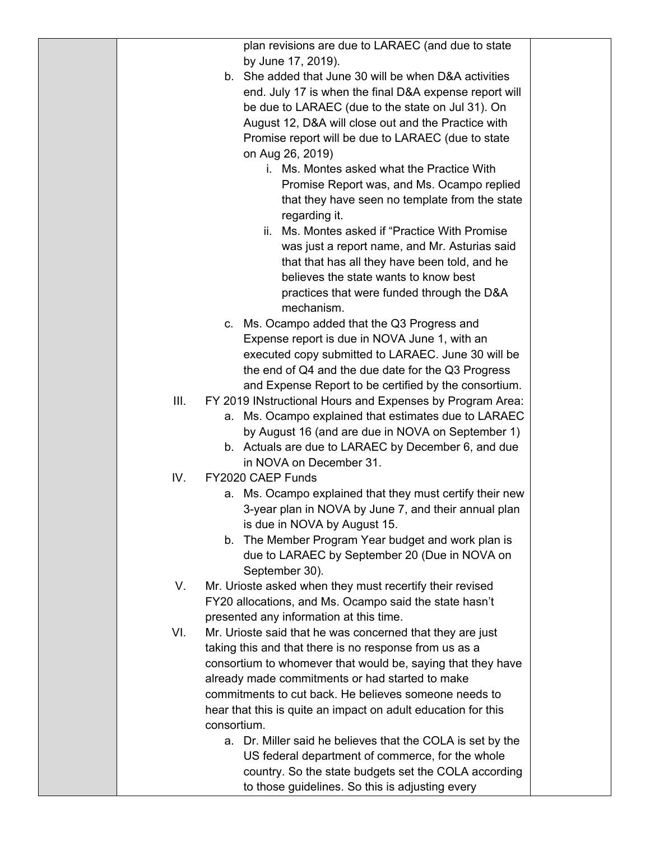|      |             | plan revisions are due to LARAEC (and due to state                         |  |
|------|-------------|----------------------------------------------------------------------------|--|
|      |             | by June 17, 2019).                                                         |  |
|      |             | b. She added that June 30 will be when D&A activities                      |  |
|      |             | end. July 17 is when the final D&A expense report will                     |  |
|      |             | be due to LARAEC (due to the state on Jul 31). On                          |  |
|      |             | August 12, D&A will close out and the Practice with                        |  |
|      |             | Promise report will be due to LARAEC (due to state                         |  |
|      |             | on Aug 26, 2019)                                                           |  |
|      |             | i. Ms. Montes asked what the Practice With                                 |  |
|      |             | Promise Report was, and Ms. Ocampo replied                                 |  |
|      |             | that they have seen no template from the state                             |  |
|      |             | regarding it.                                                              |  |
|      |             | ii. Ms. Montes asked if "Practice With Promise"                            |  |
|      |             | was just a report name, and Mr. Asturias said                              |  |
|      |             | that that has all they have been told, and he                              |  |
|      |             | believes the state wants to know best                                      |  |
|      |             | practices that were funded through the D&A                                 |  |
|      |             | mechanism.                                                                 |  |
|      |             | c. Ms. Ocampo added that the Q3 Progress and                               |  |
|      |             | Expense report is due in NOVA June 1, with an                              |  |
|      |             | executed copy submitted to LARAEC. June 30 will be                         |  |
|      |             | the end of Q4 and the due date for the Q3 Progress                         |  |
|      |             | and Expense Report to be certified by the consortium.                      |  |
| III. |             | FY 2019 INstructional Hours and Expenses by Program Area:                  |  |
|      | а.          | Ms. Ocampo explained that estimates due to LARAEC                          |  |
|      |             | by August 16 (and are due in NOVA on September 1)                          |  |
|      |             | b. Actuals are due to LARAEC by December 6, and due                        |  |
|      |             | in NOVA on December 31.                                                    |  |
| IV.  |             | FY2020 CAEP Funds                                                          |  |
|      |             | a. Ms. Ocampo explained that they must certify their new                   |  |
|      |             | 3-year plan in NOVA by June 7, and their annual plan                       |  |
|      |             | is due in NOVA by August 15.                                               |  |
|      | b.          | The Member Program Year budget and work plan is                            |  |
|      |             | due to LARAEC by September 20 (Due in NOVA on                              |  |
| V.   |             | September 30).<br>Mr. Urioste asked when they must recertify their revised |  |
|      |             | FY20 allocations, and Ms. Ocampo said the state hasn't                     |  |
|      |             | presented any information at this time.                                    |  |
| VI.  |             | Mr. Urioste said that he was concerned that they are just                  |  |
|      |             | taking this and that there is no response from us as a                     |  |
|      |             | consortium to whomever that would be, saying that they have                |  |
|      |             | already made commitments or had started to make                            |  |
|      |             | commitments to cut back. He believes someone needs to                      |  |
|      |             | hear that this is quite an impact on adult education for this              |  |
|      | consortium. |                                                                            |  |
|      |             | a. Dr. Miller said he believes that the COLA is set by the                 |  |
|      |             | US federal department of commerce, for the whole                           |  |
|      |             | country. So the state budgets set the COLA according                       |  |
|      |             | to those guidelines. So this is adjusting every                            |  |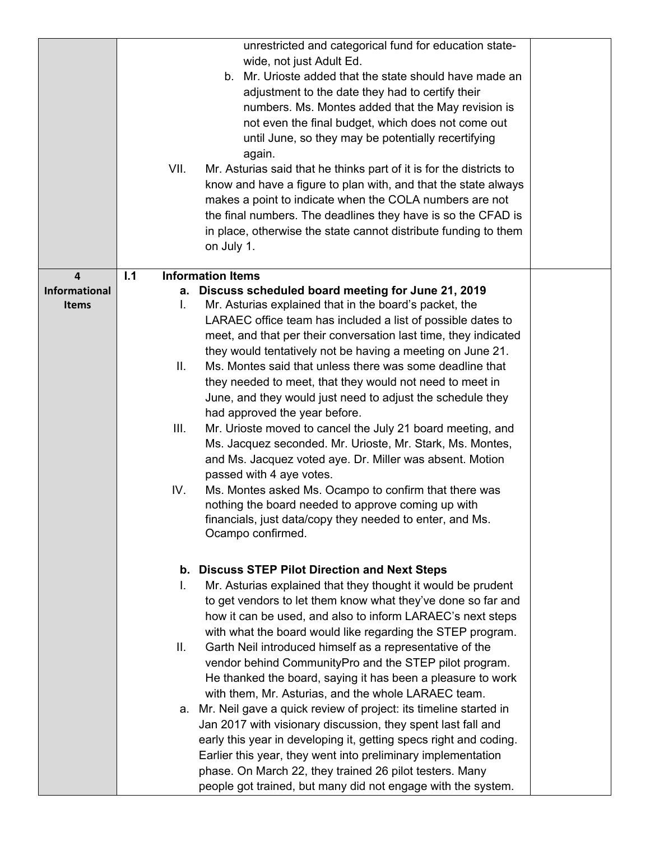|                                      | VII. | unrestricted and categorical fund for education state-<br>wide, not just Adult Ed.<br>b. Mr. Urioste added that the state should have made an<br>adjustment to the date they had to certify their<br>numbers. Ms. Montes added that the May revision is<br>not even the final budget, which does not come out<br>until June, so they may be potentially recertifying<br>again.<br>Mr. Asturias said that he thinks part of it is for the districts to<br>know and have a figure to plan with, and that the state always<br>makes a point to indicate when the COLA numbers are not |  |
|--------------------------------------|------|------------------------------------------------------------------------------------------------------------------------------------------------------------------------------------------------------------------------------------------------------------------------------------------------------------------------------------------------------------------------------------------------------------------------------------------------------------------------------------------------------------------------------------------------------------------------------------|--|
|                                      |      | the final numbers. The deadlines they have is so the CFAD is<br>in place, otherwise the state cannot distribute funding to them<br>on July 1.                                                                                                                                                                                                                                                                                                                                                                                                                                      |  |
| 4                                    | 1.1  | <b>Information Items</b>                                                                                                                                                                                                                                                                                                                                                                                                                                                                                                                                                           |  |
| <b>Informational</b><br><b>Items</b> | L.   | a. Discuss scheduled board meeting for June 21, 2019<br>Mr. Asturias explained that in the board's packet, the<br>LARAEC office team has included a list of possible dates to<br>meet, and that per their conversation last time, they indicated<br>they would tentatively not be having a meeting on June 21.                                                                                                                                                                                                                                                                     |  |
|                                      | II.  | Ms. Montes said that unless there was some deadline that<br>they needed to meet, that they would not need to meet in<br>June, and they would just need to adjust the schedule they<br>had approved the year before.                                                                                                                                                                                                                                                                                                                                                                |  |
|                                      | III. | Mr. Urioste moved to cancel the July 21 board meeting, and<br>Ms. Jacquez seconded. Mr. Urioste, Mr. Stark, Ms. Montes,<br>and Ms. Jacquez voted aye. Dr. Miller was absent. Motion<br>passed with 4 aye votes.                                                                                                                                                                                                                                                                                                                                                                    |  |
|                                      | IV.  | Ms. Montes asked Ms. Ocampo to confirm that there was<br>nothing the board needed to approve coming up with<br>financials, just data/copy they needed to enter, and Ms.<br>Ocampo confirmed.                                                                                                                                                                                                                                                                                                                                                                                       |  |
|                                      |      | b. Discuss STEP Pilot Direction and Next Steps                                                                                                                                                                                                                                                                                                                                                                                                                                                                                                                                     |  |
|                                      | L.   | Mr. Asturias explained that they thought it would be prudent<br>to get vendors to let them know what they've done so far and<br>how it can be used, and also to inform LARAEC's next steps<br>with what the board would like regarding the STEP program.                                                                                                                                                                                                                                                                                                                           |  |
|                                      | Ш.   | Garth Neil introduced himself as a representative of the<br>vendor behind CommunityPro and the STEP pilot program.<br>He thanked the board, saying it has been a pleasure to work<br>with them, Mr. Asturias, and the whole LARAEC team.                                                                                                                                                                                                                                                                                                                                           |  |
|                                      |      | a. Mr. Neil gave a quick review of project: its timeline started in<br>Jan 2017 with visionary discussion, they spent last fall and<br>early this year in developing it, getting specs right and coding.<br>Earlier this year, they went into preliminary implementation<br>phase. On March 22, they trained 26 pilot testers. Many<br>people got trained, but many did not engage with the system.                                                                                                                                                                                |  |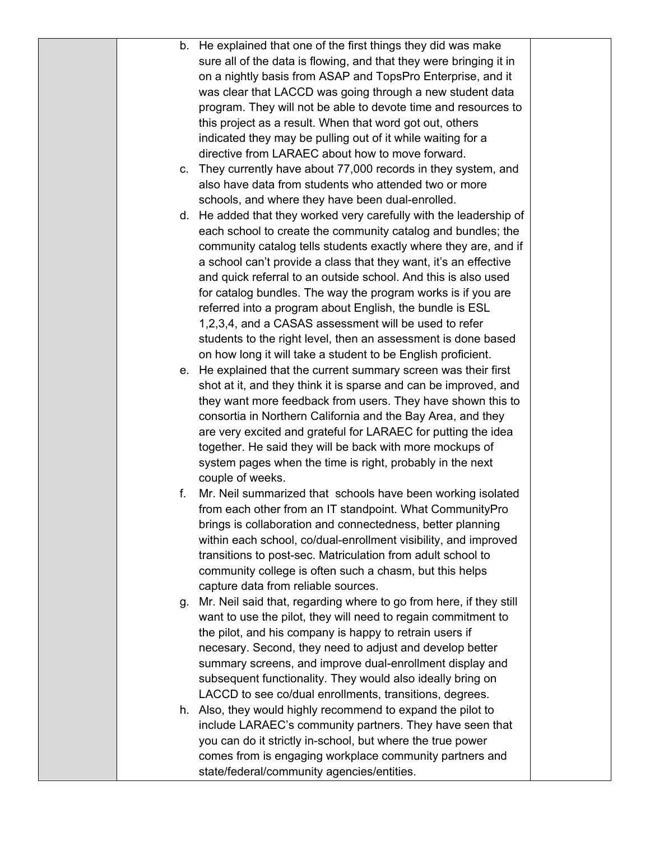|    | b. He explained that one of the first things they did was make        |  |
|----|-----------------------------------------------------------------------|--|
|    | sure all of the data is flowing, and that they were bringing it in    |  |
|    | on a nightly basis from ASAP and TopsPro Enterprise, and it           |  |
|    | was clear that LACCD was going through a new student data             |  |
|    | program. They will not be able to devote time and resources to        |  |
|    | this project as a result. When that word got out, others              |  |
|    | indicated they may be pulling out of it while waiting for a           |  |
|    | directive from LARAEC about how to move forward.                      |  |
| C. | They currently have about 77,000 records in they system, and          |  |
|    | also have data from students who attended two or more                 |  |
|    | schools, and where they have been dual-enrolled.                      |  |
|    | d. He added that they worked very carefully with the leadership of    |  |
|    | each school to create the community catalog and bundles; the          |  |
|    | community catalog tells students exactly where they are, and if       |  |
|    | a school can't provide a class that they want, it's an effective      |  |
|    | and quick referral to an outside school. And this is also used        |  |
|    | for catalog bundles. The way the program works is if you are          |  |
|    | referred into a program about English, the bundle is ESL              |  |
|    | 1,2,3,4, and a CASAS assessment will be used to refer                 |  |
|    | students to the right level, then an assessment is done based         |  |
|    | on how long it will take a student to be English proficient.          |  |
|    | e. He explained that the current summary screen was their first       |  |
|    | shot at it, and they think it is sparse and can be improved, and      |  |
|    | they want more feedback from users. They have shown this to           |  |
|    | consortia in Northern California and the Bay Area, and they           |  |
|    | are very excited and grateful for LARAEC for putting the idea         |  |
|    | together. He said they will be back with more mockups of              |  |
|    | system pages when the time is right, probably in the next             |  |
|    | couple of weeks.                                                      |  |
| f. | Mr. Neil summarized that schools have been working isolated           |  |
|    | from each other from an IT standpoint. What CommunityPro              |  |
|    | brings is collaboration and connectedness, better planning            |  |
|    | within each school, co/dual-enrollment visibility, and improved       |  |
|    | transitions to post-sec. Matriculation from adult school to           |  |
|    | community college is often such a chasm, but this helps               |  |
|    | capture data from reliable sources.                                   |  |
|    | g. Mr. Neil said that, regarding where to go from here, if they still |  |
|    | want to use the pilot, they will need to regain commitment to         |  |
|    | the pilot, and his company is happy to retrain users if               |  |
|    | necesary. Second, they need to adjust and develop better              |  |
|    | summary screens, and improve dual-enrollment display and              |  |
|    | subsequent functionality. They would also ideally bring on            |  |
|    | LACCD to see co/dual enrollments, transitions, degrees.               |  |
|    | h. Also, they would highly recommend to expand the pilot to           |  |
|    | include LARAEC's community partners. They have seen that              |  |
|    | you can do it strictly in-school, but where the true power            |  |
|    | comes from is engaging workplace community partners and               |  |
|    | state/federal/community agencies/entities.                            |  |
|    |                                                                       |  |
|    |                                                                       |  |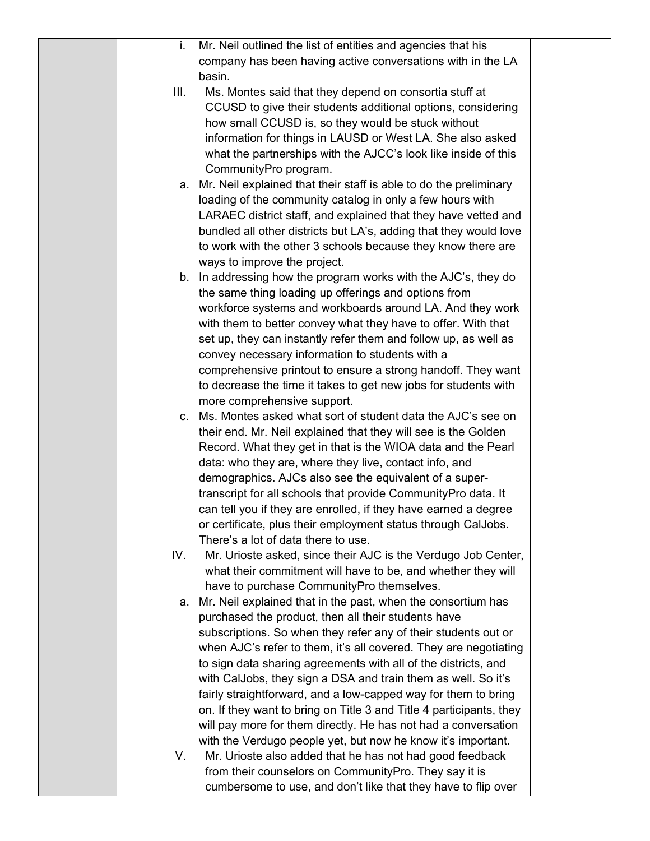| L.   | Mr. Neil outlined the list of entities and agencies that his                                                           |  |
|------|------------------------------------------------------------------------------------------------------------------------|--|
|      | company has been having active conversations with in the LA                                                            |  |
|      | basin.                                                                                                                 |  |
| III. | Ms. Montes said that they depend on consortia stuff at                                                                 |  |
|      | CCUSD to give their students additional options, considering                                                           |  |
|      | how small CCUSD is, so they would be stuck without                                                                     |  |
|      | information for things in LAUSD or West LA. She also asked                                                             |  |
|      | what the partnerships with the AJCC's look like inside of this                                                         |  |
|      | CommunityPro program.                                                                                                  |  |
|      | a. Mr. Neil explained that their staff is able to do the preliminary                                                   |  |
|      | loading of the community catalog in only a few hours with                                                              |  |
|      | LARAEC district staff, and explained that they have vetted and                                                         |  |
|      | bundled all other districts but LA's, adding that they would love                                                      |  |
|      | to work with the other 3 schools because they know there are                                                           |  |
|      | ways to improve the project.                                                                                           |  |
|      | b. In addressing how the program works with the AJC's, they do                                                         |  |
|      | the same thing loading up offerings and options from                                                                   |  |
|      | workforce systems and workboards around LA. And they work                                                              |  |
|      | with them to better convey what they have to offer. With that                                                          |  |
|      | set up, they can instantly refer them and follow up, as well as                                                        |  |
|      | convey necessary information to students with a                                                                        |  |
|      | comprehensive printout to ensure a strong handoff. They want                                                           |  |
|      | to decrease the time it takes to get new jobs for students with                                                        |  |
|      | more comprehensive support.                                                                                            |  |
|      | c. Ms. Montes asked what sort of student data the AJC's see on                                                         |  |
|      | their end. Mr. Neil explained that they will see is the Golden                                                         |  |
|      | Record. What they get in that is the WIOA data and the Pearl                                                           |  |
|      | data: who they are, where they live, contact info, and                                                                 |  |
|      | demographics. AJCs also see the equivalent of a super-                                                                 |  |
|      | transcript for all schools that provide CommunityPro data. It                                                          |  |
|      | can tell you if they are enrolled, if they have earned a degree                                                        |  |
|      |                                                                                                                        |  |
|      | or certificate, plus their employment status through CalJobs.<br>There's a lot of data there to use.                   |  |
|      |                                                                                                                        |  |
| IV.  | Mr. Urioste asked, since their AJC is the Verdugo Job Center,                                                          |  |
|      | what their commitment will have to be, and whether they will<br>have to purchase CommunityPro themselves.              |  |
|      |                                                                                                                        |  |
|      | a. Mr. Neil explained that in the past, when the consortium has<br>purchased the product, then all their students have |  |
|      |                                                                                                                        |  |
|      | subscriptions. So when they refer any of their students out or                                                         |  |
|      | when AJC's refer to them, it's all covered. They are negotiating                                                       |  |
|      | to sign data sharing agreements with all of the districts, and                                                         |  |
|      | with CalJobs, they sign a DSA and train them as well. So it's                                                          |  |
|      | fairly straightforward, and a low-capped way for them to bring                                                         |  |
|      | on. If they want to bring on Title 3 and Title 4 participants, they                                                    |  |
|      | will pay more for them directly. He has not had a conversation                                                         |  |
|      | with the Verdugo people yet, but now he know it's important.                                                           |  |
| V.   | Mr. Urioste also added that he has not had good feedback                                                               |  |
|      | from their counselors on CommunityPro. They say it is                                                                  |  |
|      | cumbersome to use, and don't like that they have to flip over                                                          |  |
|      |                                                                                                                        |  |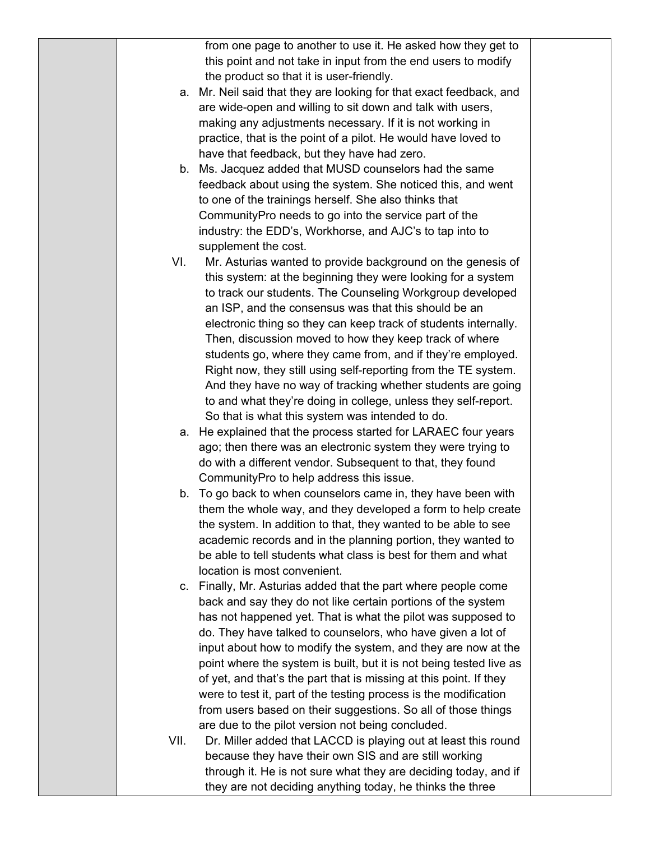|      | from one page to another to use it. He asked how they get to        |  |
|------|---------------------------------------------------------------------|--|
|      | this point and not take in input from the end users to modify       |  |
|      | the product so that it is user-friendly.                            |  |
|      | a. Mr. Neil said that they are looking for that exact feedback, and |  |
|      | are wide-open and willing to sit down and talk with users,          |  |
|      | making any adjustments necessary. If it is not working in           |  |
|      |                                                                     |  |
|      | practice, that is the point of a pilot. He would have loved to      |  |
|      | have that feedback, but they have had zero.                         |  |
|      | b. Ms. Jacquez added that MUSD counselors had the same              |  |
|      | feedback about using the system. She noticed this, and went         |  |
|      | to one of the trainings herself. She also thinks that               |  |
|      | Community Pro needs to go into the service part of the              |  |
|      | industry: the EDD's, Workhorse, and AJC's to tap into to            |  |
|      | supplement the cost.                                                |  |
| VI.  | Mr. Asturias wanted to provide background on the genesis of         |  |
|      | this system: at the beginning they were looking for a system        |  |
|      | to track our students. The Counseling Workgroup developed           |  |
|      | an ISP, and the consensus was that this should be an                |  |
|      | electronic thing so they can keep track of students internally.     |  |
|      | Then, discussion moved to how they keep track of where              |  |
|      | students go, where they came from, and if they're employed.         |  |
|      | Right now, they still using self-reporting from the TE system.      |  |
|      | And they have no way of tracking whether students are going         |  |
|      | to and what they're doing in college, unless they self-report.      |  |
|      | So that is what this system was intended to do.                     |  |
|      | a. He explained that the process started for LARAEC four years      |  |
|      | ago; then there was an electronic system they were trying to        |  |
|      | do with a different vendor. Subsequent to that, they found          |  |
|      | CommunityPro to help address this issue.                            |  |
| b.   | To go back to when counselors came in, they have been with          |  |
|      | them the whole way, and they developed a form to help create        |  |
|      | the system. In addition to that, they wanted to be able to see      |  |
|      | academic records and in the planning portion, they wanted to        |  |
|      | be able to tell students what class is best for them and what       |  |
|      | location is most convenient.                                        |  |
|      | c. Finally, Mr. Asturias added that the part where people come      |  |
|      | back and say they do not like certain portions of the system        |  |
|      | has not happened yet. That is what the pilot was supposed to        |  |
|      | do. They have talked to counselors, who have given a lot of         |  |
|      | input about how to modify the system, and they are now at the       |  |
|      | point where the system is built, but it is not being tested live as |  |
|      | of yet, and that's the part that is missing at this point. If they  |  |
|      | were to test it, part of the testing process is the modification    |  |
|      |                                                                     |  |
|      | from users based on their suggestions. So all of those things       |  |
|      | are due to the pilot version not being concluded.                   |  |
| VII. | Dr. Miller added that LACCD is playing out at least this round      |  |
|      | because they have their own SIS and are still working               |  |
|      | through it. He is not sure what they are deciding today, and if     |  |
|      | they are not deciding anything today, he thinks the three           |  |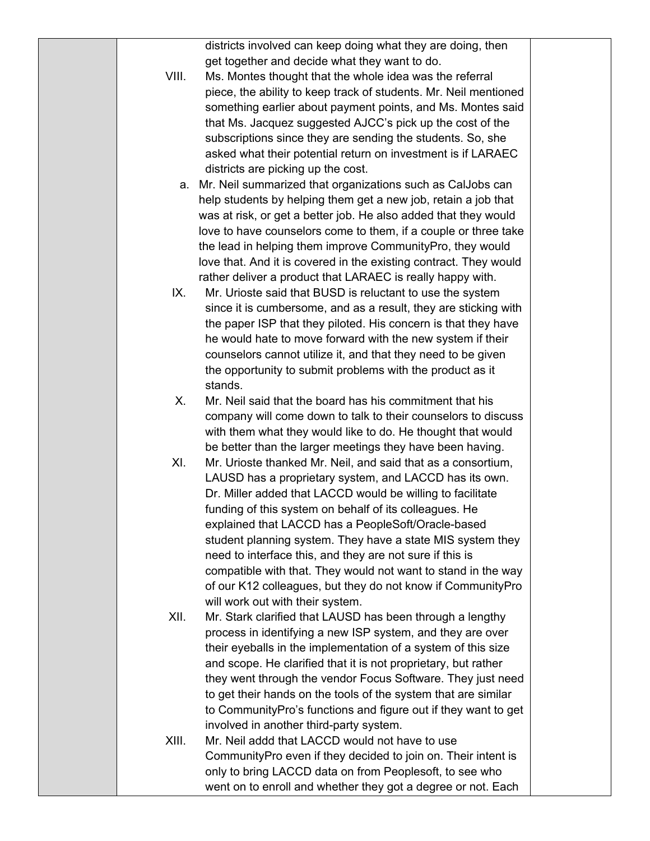districts involved can keep doing what they are doing, then get together and decide what they want to do.

- VIII. Ms. Montes thought that the whole idea was the referral piece, the ability to keep track of students. Mr. Neil mentioned something earlier about payment points, and Ms. Montes said that Ms. Jacquez suggested AJCC's pick up the cost of the subscriptions since they are sending the students. So, she asked what their potential return on investment is if LARAEC districts are picking up the cost.
	- a. Mr. Neil summarized that organizations such as CalJobs can help students by helping them get a new job, retain a job that was at risk, or get a better job. He also added that they would love to have counselors come to them, if a couple or three take the lead in helping them improve CommunityPro, they would love that. And it is covered in the existing contract. They would rather deliver a product that LARAEC is really happy with.
	- IX. Mr. Urioste said that BUSD is reluctant to use the system since it is cumbersome, and as a result, they are sticking with the paper ISP that they piloted. His concern is that they have he would hate to move forward with the new system if their counselors cannot utilize it, and that they need to be given the opportunity to submit problems with the product as it stands.
	- X. Mr. Neil said that the board has his commitment that his company will come down to talk to their counselors to discuss with them what they would like to do. He thought that would be better than the larger meetings they have been having.
	- XI. Mr. Urioste thanked Mr. Neil, and said that as a consortium, LAUSD has a proprietary system, and LACCD has its own. Dr. Miller added that LACCD would be willing to facilitate funding of this system on behalf of its colleagues. He explained that LACCD has a PeopleSoft/Oracle-based student planning system. They have a state MIS system they need to interface this, and they are not sure if this is compatible with that. They would not want to stand in the way of our K12 colleagues, but they do not know if CommunityPro will work out with their system.
- XII. Mr. Stark clarified that LAUSD has been through a lengthy process in identifying a new ISP system, and they are over their eyeballs in the implementation of a system of this size and scope. He clarified that it is not proprietary, but rather they went through the vendor Focus Software. They just need to get their hands on the tools of the system that are similar to CommunityPro's functions and figure out if they want to get involved in another third-party system.
- XIII. Mr. Neil addd that LACCD would not have to use CommunityPro even if they decided to join on. Their intent is only to bring LACCD data on from Peoplesoft, to see who went on to enroll and whether they got a degree or not. Each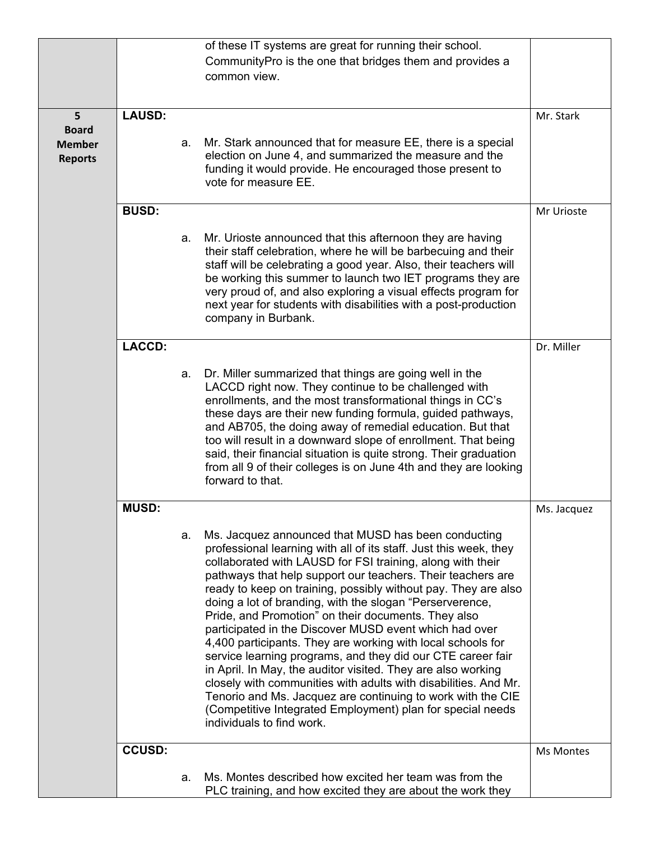|                                 |               |    | of these IT systems are great for running their school.                                                                                                                                                                                                                                                                                                                                                                                                                                                                                                                                                                                                                                                                                                                                                                                                                                                                         |             |
|---------------------------------|---------------|----|---------------------------------------------------------------------------------------------------------------------------------------------------------------------------------------------------------------------------------------------------------------------------------------------------------------------------------------------------------------------------------------------------------------------------------------------------------------------------------------------------------------------------------------------------------------------------------------------------------------------------------------------------------------------------------------------------------------------------------------------------------------------------------------------------------------------------------------------------------------------------------------------------------------------------------|-------------|
|                                 |               |    | CommunityPro is the one that bridges them and provides a<br>common view.                                                                                                                                                                                                                                                                                                                                                                                                                                                                                                                                                                                                                                                                                                                                                                                                                                                        |             |
|                                 | <b>LAUSD:</b> |    |                                                                                                                                                                                                                                                                                                                                                                                                                                                                                                                                                                                                                                                                                                                                                                                                                                                                                                                                 |             |
| 5<br><b>Board</b>               |               |    |                                                                                                                                                                                                                                                                                                                                                                                                                                                                                                                                                                                                                                                                                                                                                                                                                                                                                                                                 | Mr. Stark   |
| <b>Member</b><br><b>Reports</b> |               | a. | Mr. Stark announced that for measure EE, there is a special<br>election on June 4, and summarized the measure and the<br>funding it would provide. He encouraged those present to<br>vote for measure EE.                                                                                                                                                                                                                                                                                                                                                                                                                                                                                                                                                                                                                                                                                                                       |             |
|                                 | <b>BUSD:</b>  |    |                                                                                                                                                                                                                                                                                                                                                                                                                                                                                                                                                                                                                                                                                                                                                                                                                                                                                                                                 | Mr Urioste  |
|                                 |               | a. | Mr. Urioste announced that this afternoon they are having<br>their staff celebration, where he will be barbecuing and their<br>staff will be celebrating a good year. Also, their teachers will<br>be working this summer to launch two IET programs they are<br>very proud of, and also exploring a visual effects program for<br>next year for students with disabilities with a post-production<br>company in Burbank.                                                                                                                                                                                                                                                                                                                                                                                                                                                                                                       |             |
|                                 | <b>LACCD:</b> |    |                                                                                                                                                                                                                                                                                                                                                                                                                                                                                                                                                                                                                                                                                                                                                                                                                                                                                                                                 | Dr. Miller  |
|                                 |               | а. | Dr. Miller summarized that things are going well in the<br>LACCD right now. They continue to be challenged with<br>enrollments, and the most transformational things in CC's<br>these days are their new funding formula, guided pathways,<br>and AB705, the doing away of remedial education. But that<br>too will result in a downward slope of enrollment. That being<br>said, their financial situation is quite strong. Their graduation<br>from all 9 of their colleges is on June 4th and they are looking<br>forward to that.                                                                                                                                                                                                                                                                                                                                                                                           |             |
|                                 | <b>MUSD:</b>  |    |                                                                                                                                                                                                                                                                                                                                                                                                                                                                                                                                                                                                                                                                                                                                                                                                                                                                                                                                 | Ms. Jacquez |
|                                 |               | а. | Ms. Jacquez announced that MUSD has been conducting<br>professional learning with all of its staff. Just this week, they<br>collaborated with LAUSD for FSI training, along with their<br>pathways that help support our teachers. Their teachers are<br>ready to keep on training, possibly without pay. They are also<br>doing a lot of branding, with the slogan "Perserverence,<br>Pride, and Promotion" on their documents. They also<br>participated in the Discover MUSD event which had over<br>4,400 participants. They are working with local schools for<br>service learning programs, and they did our CTE career fair<br>in April. In May, the auditor visited. They are also working<br>closely with communities with adults with disabilities. And Mr.<br>Tenorio and Ms. Jacquez are continuing to work with the CIE<br>(Competitive Integrated Employment) plan for special needs<br>individuals to find work. |             |
|                                 | <b>CCUSD:</b> |    |                                                                                                                                                                                                                                                                                                                                                                                                                                                                                                                                                                                                                                                                                                                                                                                                                                                                                                                                 | Ms Montes   |
|                                 |               | a. | Ms. Montes described how excited her team was from the<br>PLC training, and how excited they are about the work they                                                                                                                                                                                                                                                                                                                                                                                                                                                                                                                                                                                                                                                                                                                                                                                                            |             |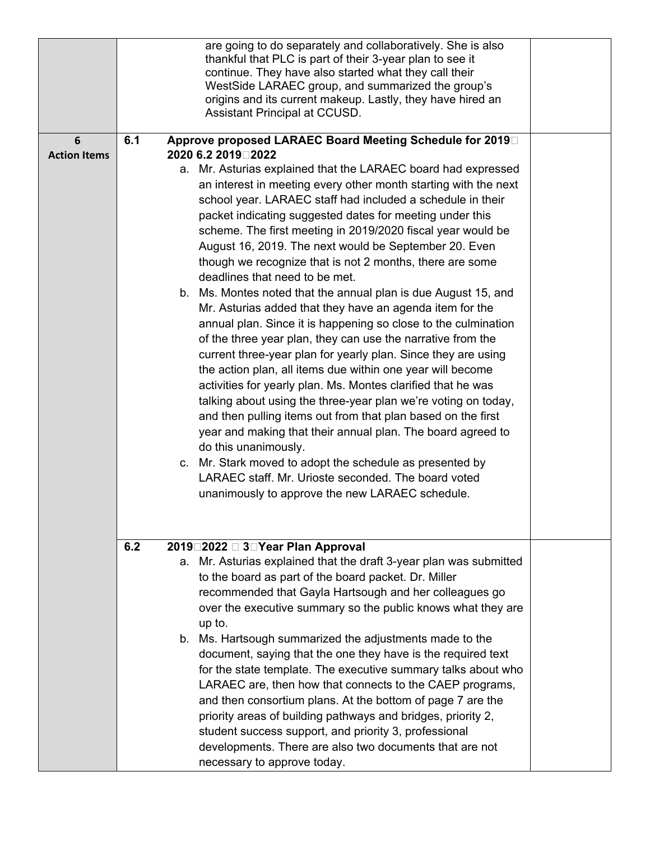|                     |     | are going to do separately and collaboratively. She is also<br>thankful that PLC is part of their 3-year plan to see it |  |
|---------------------|-----|-------------------------------------------------------------------------------------------------------------------------|--|
|                     |     | continue. They have also started what they call their                                                                   |  |
|                     |     | WestSide LARAEC group, and summarized the group's                                                                       |  |
|                     |     | origins and its current makeup. Lastly, they have hired an<br>Assistant Principal at CCUSD.                             |  |
|                     |     |                                                                                                                         |  |
| 6                   | 6.1 | Approve proposed LARAEC Board Meeting Schedule for 2019                                                                 |  |
| <b>Action Items</b> |     | 2020 6.2 2019□2022                                                                                                      |  |
|                     |     | a. Mr. Asturias explained that the LARAEC board had expressed                                                           |  |
|                     |     | an interest in meeting every other month starting with the next                                                         |  |
|                     |     | school year. LARAEC staff had included a schedule in their                                                              |  |
|                     |     | packet indicating suggested dates for meeting under this                                                                |  |
|                     |     | scheme. The first meeting in 2019/2020 fiscal year would be<br>August 16, 2019. The next would be September 20. Even    |  |
|                     |     | though we recognize that is not 2 months, there are some                                                                |  |
|                     |     | deadlines that need to be met.                                                                                          |  |
|                     |     | b. Ms. Montes noted that the annual plan is due August 15, and                                                          |  |
|                     |     | Mr. Asturias added that they have an agenda item for the                                                                |  |
|                     |     | annual plan. Since it is happening so close to the culmination                                                          |  |
|                     |     | of the three year plan, they can use the narrative from the                                                             |  |
|                     |     | current three-year plan for yearly plan. Since they are using                                                           |  |
|                     |     | the action plan, all items due within one year will become                                                              |  |
|                     |     | activities for yearly plan. Ms. Montes clarified that he was                                                            |  |
|                     |     | talking about using the three-year plan we're voting on today,                                                          |  |
|                     |     | and then pulling items out from that plan based on the first                                                            |  |
|                     |     | year and making that their annual plan. The board agreed to                                                             |  |
|                     |     | do this unanimously.                                                                                                    |  |
|                     |     | c. Mr. Stark moved to adopt the schedule as presented by<br>LARAEC staff. Mr. Urioste seconded. The board voted         |  |
|                     |     | unanimously to approve the new LARAEC schedule.                                                                         |  |
|                     |     |                                                                                                                         |  |
|                     |     |                                                                                                                         |  |
|                     |     |                                                                                                                         |  |
|                     | 6.2 | 2019□2022 □ 3□Year Plan Approval<br>a. Mr. Asturias explained that the draft 3-year plan was submitted                  |  |
|                     |     | to the board as part of the board packet. Dr. Miller                                                                    |  |
|                     |     | recommended that Gayla Hartsough and her colleagues go                                                                  |  |
|                     |     | over the executive summary so the public knows what they are                                                            |  |
|                     |     | up to.                                                                                                                  |  |
|                     |     | b. Ms. Hartsough summarized the adjustments made to the                                                                 |  |
|                     |     | document, saying that the one they have is the required text                                                            |  |
|                     |     | for the state template. The executive summary talks about who                                                           |  |
|                     |     | LARAEC are, then how that connects to the CAEP programs,                                                                |  |
|                     |     | and then consortium plans. At the bottom of page 7 are the                                                              |  |
|                     |     | priority areas of building pathways and bridges, priority 2,                                                            |  |
|                     |     | student success support, and priority 3, professional                                                                   |  |
|                     |     | developments. There are also two documents that are not                                                                 |  |
|                     |     | necessary to approve today.                                                                                             |  |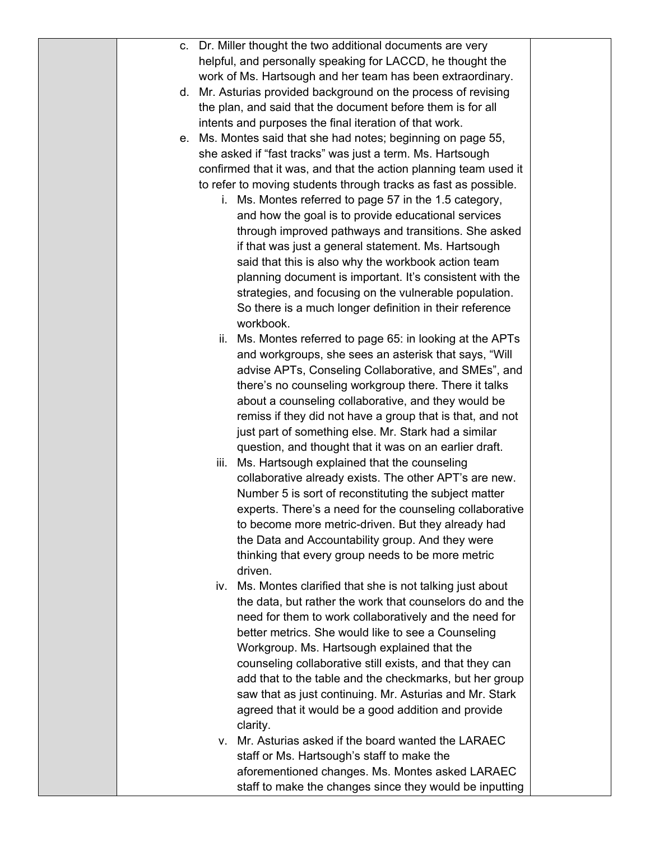|  | c. Dr. Miller thought the two additional documents are very      |  |
|--|------------------------------------------------------------------|--|
|  | helpful, and personally speaking for LACCD, he thought the       |  |
|  | work of Ms. Hartsough and her team has been extraordinary.       |  |
|  | d. Mr. Asturias provided background on the process of revising   |  |
|  | the plan, and said that the document before them is for all      |  |
|  | intents and purposes the final iteration of that work.           |  |
|  | e. Ms. Montes said that she had notes; beginning on page 55,     |  |
|  | she asked if "fast tracks" was just a term. Ms. Hartsough        |  |
|  | confirmed that it was, and that the action planning team used it |  |
|  | to refer to moving students through tracks as fast as possible.  |  |
|  | i. Ms. Montes referred to page 57 in the 1.5 category,           |  |
|  | and how the goal is to provide educational services              |  |
|  | through improved pathways and transitions. She asked             |  |
|  | if that was just a general statement. Ms. Hartsough              |  |
|  | said that this is also why the workbook action team              |  |
|  | planning document is important. It's consistent with the         |  |
|  | strategies, and focusing on the vulnerable population.           |  |
|  | So there is a much longer definition in their reference          |  |
|  | workbook.                                                        |  |
|  | ii. Ms. Montes referred to page 65: in looking at the APTs       |  |
|  | and workgroups, she sees an asterisk that says, "Will            |  |
|  | advise APTs, Conseling Collaborative, and SMEs", and             |  |
|  | there's no counseling workgroup there. There it talks            |  |
|  | about a counseling collaborative, and they would be              |  |
|  | remiss if they did not have a group that is that, and not        |  |
|  | just part of something else. Mr. Stark had a similar             |  |
|  | question, and thought that it was on an earlier draft.           |  |
|  | Ms. Hartsough explained that the counseling<br>iii.              |  |
|  | collaborative already exists. The other APT's are new.           |  |
|  | Number 5 is sort of reconstituting the subject matter            |  |
|  | experts. There's a need for the counseling collaborative         |  |
|  | to become more metric-driven. But they already had               |  |
|  |                                                                  |  |
|  | the Data and Accountability group. And they were                 |  |
|  | thinking that every group needs to be more metric                |  |
|  | driven.                                                          |  |
|  | Ms. Montes clarified that she is not talking just about<br>İV.   |  |
|  | the data, but rather the work that counselors do and the         |  |
|  | need for them to work collaboratively and the need for           |  |
|  | better metrics. She would like to see a Counseling               |  |
|  | Workgroup. Ms. Hartsough explained that the                      |  |
|  | counseling collaborative still exists, and that they can         |  |
|  | add that to the table and the checkmarks, but her group          |  |
|  | saw that as just continuing. Mr. Asturias and Mr. Stark          |  |
|  | agreed that it would be a good addition and provide              |  |
|  | clarity.                                                         |  |
|  | Mr. Asturias asked if the board wanted the LARAEC<br>V.          |  |
|  | staff or Ms. Hartsough's staff to make the                       |  |
|  | aforementioned changes. Ms. Montes asked LARAEC                  |  |
|  | staff to make the changes since they would be inputting          |  |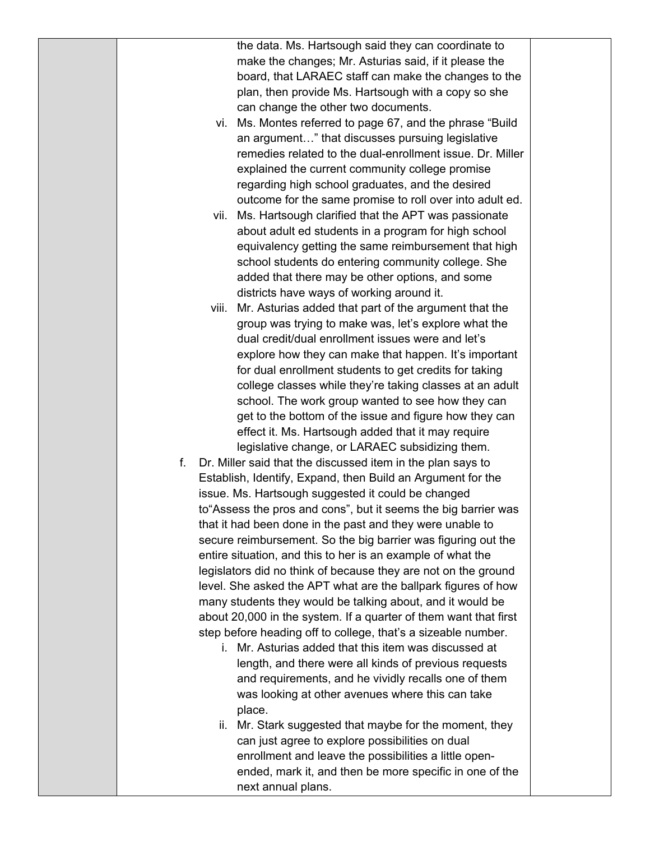the data. Ms. Hartsough said they can coordinate to make the changes; Mr. Asturias said, if it please the board, that LARAEC staff can make the changes to the plan, then provide Ms. Hartsough with a copy so she can change the other two documents.

- vi. Ms. Montes referred to page 67, and the phrase "Build an argument…" that discusses pursuing legislative remedies related to the dual-enrollment issue. Dr. Miller explained the current community college promise regarding high school graduates, and the desired outcome for the same promise to roll over into adult ed.
- vii. Ms. Hartsough clarified that the APT was passionate about adult ed students in a program for high school equivalency getting the same reimbursement that high school students do entering community college. She added that there may be other options, and some districts have ways of working around it.
- viii. Mr. Asturias added that part of the argument that the group was trying to make was, let's explore what the dual credit/dual enrollment issues were and let's explore how they can make that happen. It's important for dual enrollment students to get credits for taking college classes while they're taking classes at an adult school. The work group wanted to see how they can get to the bottom of the issue and figure how they can effect it. Ms. Hartsough added that it may require legislative change, or LARAEC subsidizing them.
- f. Dr. Miller said that the discussed item in the plan says to Establish, Identify, Expand, then Build an Argument for the issue. Ms. Hartsough suggested it could be changed to"Assess the pros and cons", but it seems the big barrier was that it had been done in the past and they were unable to secure reimbursement. So the big barrier was figuring out the entire situation, and this to her is an example of what the legislators did no think of because they are not on the ground level. She asked the APT what are the ballpark figures of how many students they would be talking about, and it would be about 20,000 in the system. If a quarter of them want that first step before heading off to college, that's a sizeable number.
	- i. Mr. Asturias added that this item was discussed at length, and there were all kinds of previous requests and requirements, and he vividly recalls one of them was looking at other avenues where this can take place.
	- ii. Mr. Stark suggested that maybe for the moment, they can just agree to explore possibilities on dual enrollment and leave the possibilities a little openended, mark it, and then be more specific in one of the next annual plans.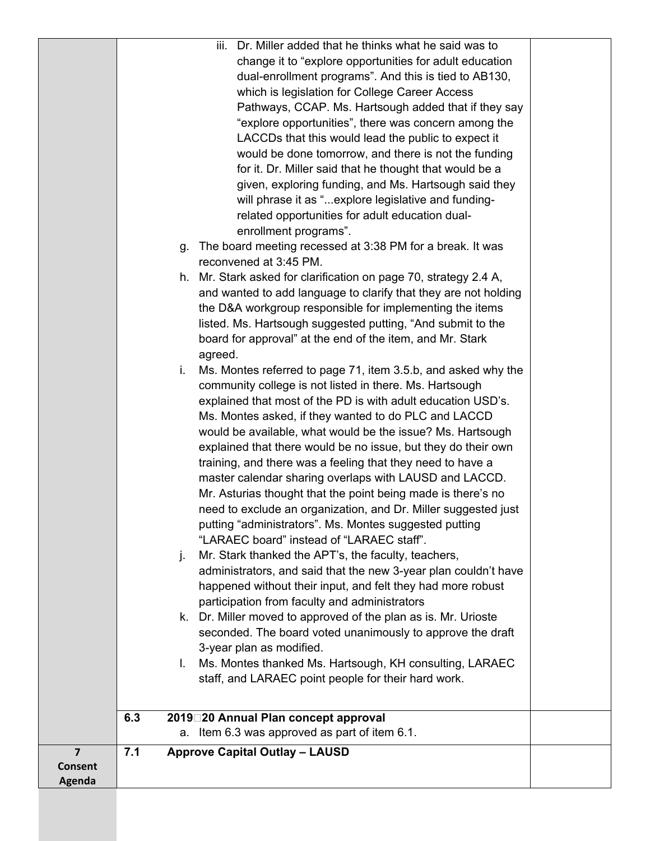|                |     | iii. Dr. Miller added that he thinks what he said was to                                                       |  |
|----------------|-----|----------------------------------------------------------------------------------------------------------------|--|
|                |     | change it to "explore opportunities for adult education                                                        |  |
|                |     | dual-enrollment programs". And this is tied to AB130,                                                          |  |
|                |     | which is legislation for College Career Access                                                                 |  |
|                |     | Pathways, CCAP. Ms. Hartsough added that if they say                                                           |  |
|                |     | "explore opportunities", there was concern among the                                                           |  |
|                |     | LACCDs that this would lead the public to expect it                                                            |  |
|                |     | would be done tomorrow, and there is not the funding                                                           |  |
|                |     | for it. Dr. Miller said that he thought that would be a                                                        |  |
|                |     | given, exploring funding, and Ms. Hartsough said they                                                          |  |
|                |     | will phrase it as " explore legislative and funding-                                                           |  |
|                |     | related opportunities for adult education dual-<br>enrollment programs".                                       |  |
|                |     | The board meeting recessed at 3:38 PM for a break. It was                                                      |  |
|                | g.  | reconvened at 3:45 PM.                                                                                         |  |
|                |     | h. Mr. Stark asked for clarification on page 70, strategy 2.4 A,                                               |  |
|                |     | and wanted to add language to clarify that they are not holding                                                |  |
|                |     | the D&A workgroup responsible for implementing the items                                                       |  |
|                |     | listed. Ms. Hartsough suggested putting, "And submit to the                                                    |  |
|                |     | board for approval" at the end of the item, and Mr. Stark                                                      |  |
|                |     | agreed.                                                                                                        |  |
|                | i.  | Ms. Montes referred to page 71, item 3.5.b, and asked why the                                                  |  |
|                |     | community college is not listed in there. Ms. Hartsough                                                        |  |
|                |     | explained that most of the PD is with adult education USD's.                                                   |  |
|                |     | Ms. Montes asked, if they wanted to do PLC and LACCD                                                           |  |
|                |     | would be available, what would be the issue? Ms. Hartsough                                                     |  |
|                |     | explained that there would be no issue, but they do their own                                                  |  |
|                |     | training, and there was a feeling that they need to have a                                                     |  |
|                |     | master calendar sharing overlaps with LAUSD and LACCD.                                                         |  |
|                |     | Mr. Asturias thought that the point being made is there's no                                                   |  |
|                |     | need to exclude an organization, and Dr. Miller suggested just                                                 |  |
|                |     | putting "administrators". Ms. Montes suggested putting                                                         |  |
|                |     | "LARAEC board" instead of "LARAEC staff".                                                                      |  |
|                | j.  | Mr. Stark thanked the APT's, the faculty, teachers,                                                            |  |
|                |     | administrators, and said that the new 3-year plan couldn't have                                                |  |
|                |     | happened without their input, and felt they had more robust                                                    |  |
|                |     | participation from faculty and administrators                                                                  |  |
|                |     | k. Dr. Miller moved to approved of the plan as is. Mr. Urioste                                                 |  |
|                |     | seconded. The board voted unanimously to approve the draft                                                     |  |
|                | L.  | 3-year plan as modified.                                                                                       |  |
|                |     | Ms. Montes thanked Ms. Hartsough, KH consulting, LARAEC<br>staff, and LARAEC point people for their hard work. |  |
|                |     |                                                                                                                |  |
|                | 6.3 | 2019 20 Annual Plan concept approval                                                                           |  |
|                |     | a. Item 6.3 was approved as part of item 6.1.                                                                  |  |
| $\overline{7}$ | 7.1 | <b>Approve Capital Outlay - LAUSD</b>                                                                          |  |
| <b>Consent</b> |     |                                                                                                                |  |
| Agenda         |     |                                                                                                                |  |